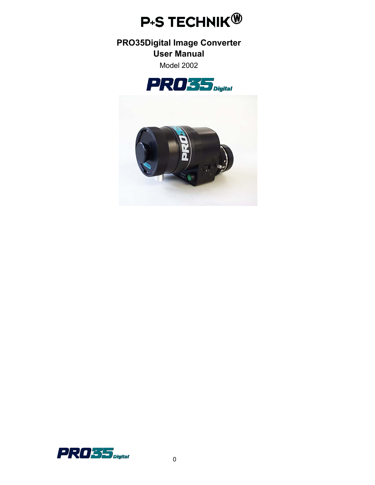

# **PRO35Digital Image Converter User Manual**

Model 2002





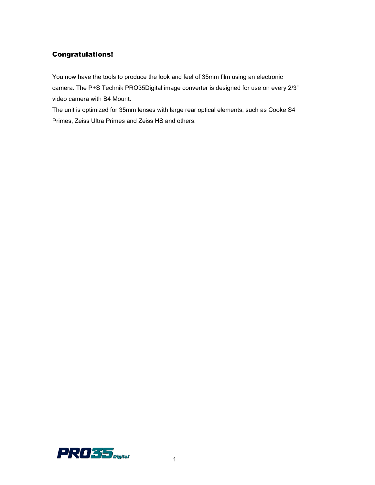### Congratulations!

You now have the tools to produce the look and feel of 35mm film using an electronic camera. The P+S Technik PRO35Digital image converter is designed for use on every 2/3" video camera with B4 Mount.

The unit is optimized for 35mm lenses with large rear optical elements, such as Cooke S4 Primes, Zeiss Ultra Primes and Zeiss HS and others.

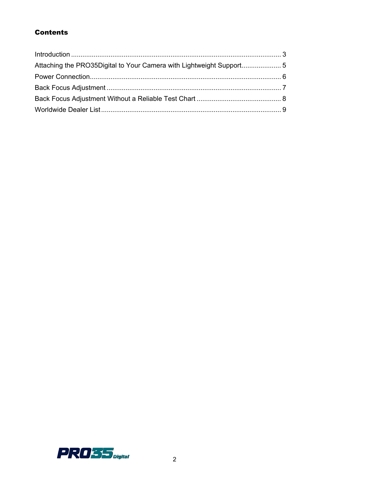# **Contents**

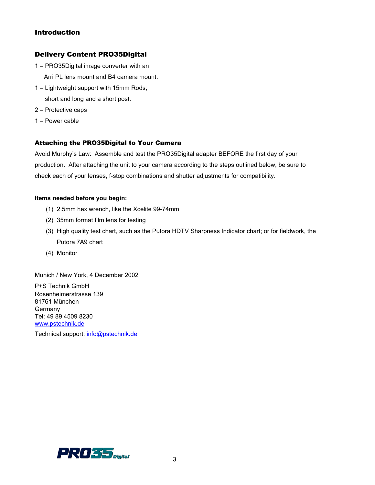### Introduction

### Delivery Content PRO35Digital

- 1 PRO35Digital image converter with an Arri PL lens mount and B4 camera mount.
- 1 Lightweight support with 15mm Rods; short and long and a short post.
- 2 Protective caps
- 1 Power cable

### Attaching the PRO35Digital to Your Camera

Avoid Murphy's Law: Assemble and test the PRO35Digital adapter BEFORE the first day of your production. After attaching the unit to your camera according to the steps outlined below, be sure to check each of your lenses, f-stop combinations and shutter adjustments for compatibility.

#### **Items needed before you begin:**

- (1) 2.5mm hex wrench, like the Xcelite 99-74mm
- (2) 35mm format film lens for testing
- (3) High quality test chart, such as the Putora HDTV Sharpness Indicator chart; or for fieldwork, the Putora 7A9 chart
- (4) Monitor

Munich / New York, 4 December 2002

P+S Technik GmbH Rosenheimerstrasse 139 81761 München Germany Tel: 49 89 4509 8230 [www.pstechnik.de](http://www.pstechnik.de/)

Technical support: [info@pstechnik.de](mailto:info@pstechnik.de)

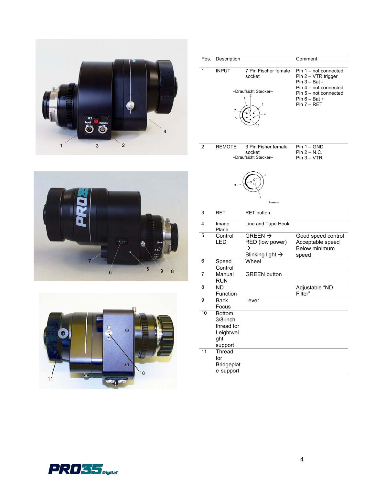

| Pos.           | Description              |                                | Comment                                                                                             |
|----------------|--------------------------|--------------------------------|-----------------------------------------------------------------------------------------------------|
| 1              | <b>INPUT</b>             | 7 Pin Fischer female<br>socket | $\overline{Pin 1}$ – not connected<br>Pin 2 - VTR trigger<br>Pin 3 - Bat -<br>Pin 4 - not connected |
|                |                          | -Draufsicht Stecker-           | Pin 5 - not connected                                                                               |
|                |                          |                                | Pin $6 - Bat +$                                                                                     |
|                |                          |                                | Pin 7 - RET                                                                                         |
| $\overline{2}$ | <b>REMOTE</b>            | 3 Pin Fisher female            | $Pin 1 - GND$                                                                                       |
|                |                          | socket                         | $Pin 2 - N.C.$                                                                                      |
|                |                          | -Draufsicht Stecker-           | $Pin 3 - VTR$                                                                                       |
|                |                          |                                |                                                                                                     |
|                |                          | Remote                         |                                                                                                     |
| $\overline{3}$ | <b>RET</b>               | <b>RET</b> button              |                                                                                                     |
| 4              | Image<br>Plane           | Line and Tape Hook             |                                                                                                     |
| 5              | Control                  | GREEN $\rightarrow$            | Good speed control                                                                                  |
|                | LED                      | RED (low power)<br>→           | Acceptable speed<br><b>Below minimum</b>                                                            |
|                |                          | Blinking light $\rightarrow$   | speed                                                                                               |
| 6              | Speed<br>Control         | Wheel                          |                                                                                                     |
| $\overline{7}$ | Manual<br>RUN            | <b>GREEN button</b>            |                                                                                                     |
| 8              | <b>ND</b>                |                                | Adjustable "ND                                                                                      |
| 9              | Function                 |                                | Filter"                                                                                             |
|                | <b>Back</b><br>Focus     | Lever                          |                                                                                                     |
| 10             | <b>Bottom</b>            |                                |                                                                                                     |
|                | 3/8-inch                 |                                |                                                                                                     |
|                | thread for               |                                |                                                                                                     |
|                | Leightwei                |                                |                                                                                                     |
|                | ght                      |                                |                                                                                                     |
|                | support                  |                                |                                                                                                     |
| 11             | Thread                   |                                |                                                                                                     |
|                | for<br><b>Bridgeplat</b> |                                |                                                                                                     |
|                |                          |                                |                                                                                                     |

e support





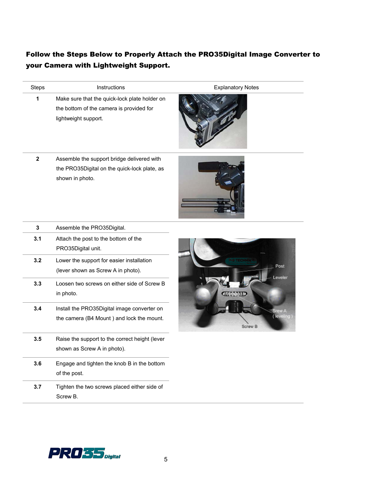# Follow the Steps Below to Properly Attach the PRO35Digital Image Converter to your Camera with Lightweight Support.

| <b>Steps</b> | Instructions                                                                                                      | <b>Explanatory Notes</b>      |
|--------------|-------------------------------------------------------------------------------------------------------------------|-------------------------------|
| 1            | Make sure that the quick-lock plate holder on<br>the bottom of the camera is provided for<br>lightweight support. |                               |
| $\mathbf 2$  | Assemble the support bridge delivered with<br>the PRO35Digital on the quick-lock plate, as<br>shown in photo.     |                               |
| 3            | Assemble the PRO35Digital.                                                                                        |                               |
| 3.1          | Attach the post to the bottom of the<br>PRO35Digital unit.                                                        |                               |
| 3.2          | Lower the support for easier installation<br>(lever shown as Screw A in photo).                                   | Post                          |
| 3.3          | Loosen two screws on either side of Screw B<br>in photo.                                                          | eveler.<br><b>DANADO</b>      |
| 3.4          | Install the PRO35Digital image converter on<br>the camera (B4 Mount) and lock the mount.                          | Srew A<br>leveling<br>Screw B |
| 3.5          | Raise the support to the correct height (lever<br>shown as Screw A in photo).                                     |                               |
| 3.6          | Engage and tighten the knob B in the bottom<br>of the post.                                                       |                               |
| 3.7          | Tighten the two screws placed either side of<br>Screw B.                                                          |                               |

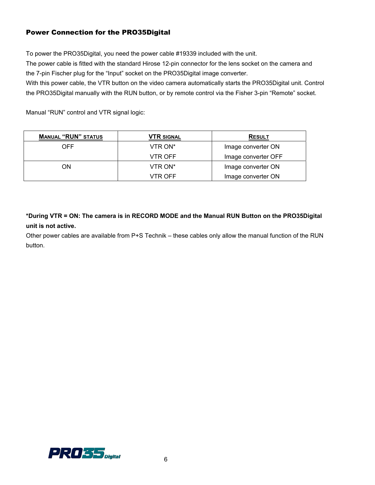# Power Connection for the PRO35Digital

To power the PRO35Digital, you need the power cable #19339 included with the unit.

The power cable is fitted with the standard Hirose 12-pin connector for the lens socket on the camera and the 7-pin Fischer plug for the "Input" socket on the PRO35Digital image converter.

With this power cable, the VTR button on the video camera automatically starts the PRO35Digital unit. Control the PRO35Digital manually with the RUN button, or by remote control via the Fisher 3-pin "Remote" socket.

Manual "RUN" control and VTR signal logic:

| <b>MANUAL "RUN" STATUS</b> | VTR SIGNAL | <b>RESULT</b>       |  |
|----------------------------|------------|---------------------|--|
| OFF.                       | VTR ON*    | Image converter ON  |  |
|                            | VTR OFF    | Image converter OFF |  |
| ON                         | VTR ON*    | Image converter ON  |  |
|                            | VTR OFF    | Image converter ON  |  |

**\*During VTR = ON: The camera is in RECORD MODE and the Manual RUN Button on the PRO35Digital unit is not active.** 

Other power cables are available from P+S Technik – these cables only allow the manual function of the RUN button.

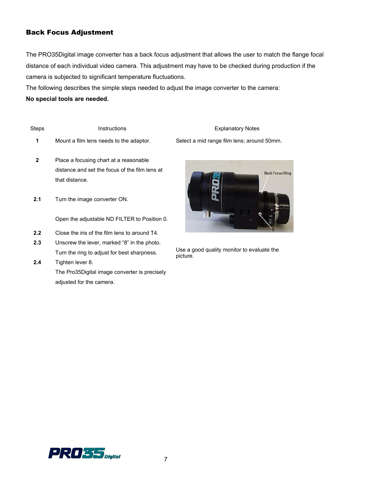# Back Focus Adjustment

The PRO35Digital image converter has a back focus adjustment that allows the user to match the flange focal distance of each individual video camera. This adjustment may have to be checked during production if the camera is subjected to significant temperature fluctuations.

The following describes the simple steps needed to adjust the image converter to the camera:

#### **No special tools are needed.**

| <b>Steps</b> | <b>Instructions</b>                                                                                        | <b>Explanatory Notes</b>            |
|--------------|------------------------------------------------------------------------------------------------------------|-------------------------------------|
| 1            | Mount a film lens needs to the adaptor.                                                                    | Select a mid range film lens; aroun |
| $\mathbf{2}$ | Place a focusing chart at a reasonable<br>distance and set the focus of the film lens at<br>that distance. |                                     |
| 2.1          | Turn the image converter ON.                                                                               |                                     |
|              | Open the adjustable ND FILTER to Position 0.                                                               |                                     |
|              | Close the iris of the film lens to around T4.                                                              |                                     |

- **2.3** Unscrew the lever, marked "8" in the photo. Turn the ring to adjust for best sharpness.
- **2.4** Tighten lever 8. The Pro35Digital image converter is precisely adjusted for the camera.

Select a mid range film lens; around 50mm.



Use a good quality monitor to evaluate the picture.

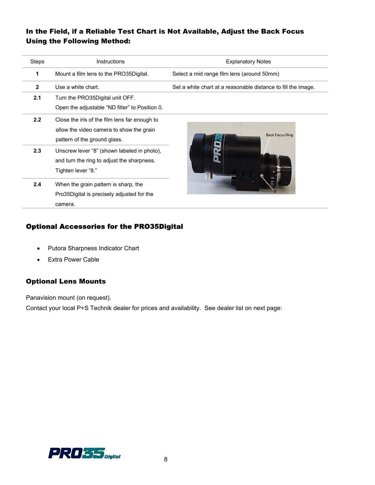# In the Field, if a Reliable Test Chart is Not Available, Adjust the Back Focus Using the Following Method:

| Steps        | <b>Instructions</b>                                                                                                       | <b>Explanatory Notes</b>                                      |
|--------------|---------------------------------------------------------------------------------------------------------------------------|---------------------------------------------------------------|
| 1            | Mount a film lens to the PRO35Digital.                                                                                    | Select a mid range film lens (around 50mm)                    |
| $\mathbf{2}$ | Use a white chart.                                                                                                        | Set a white chart at a reasonable distance to fill the image. |
| 2.1          | Turn the PRO35Digital unit OFF.<br>Open the adjustable "ND filter" to Position 0.                                         |                                                               |
| 2.2          | Close the iris of the film lens far enough to<br>allow the video camera to show the grain<br>pattern of the ground glass. | <b>Back Focus Ring</b>                                        |
| 2.3          | Unscrew lever "8" (shown labeled in photo),<br>and turn the ring to adjust the sharpness.<br>"Tighten lever "8.           |                                                               |
| 2.4          | When the grain pattern is sharp, the<br>Pro35Digital is precisely adjusted for the<br>camera.                             |                                                               |

# Optional Accessories for the PRO35Digital

- Putora Sharpness Indicator Chart
- Extra Power Cable

## Optional Lens Mounts

Panavision mount (on request).

Contact your local P+S Technik dealer for prices and availability. See dealer list on next page: